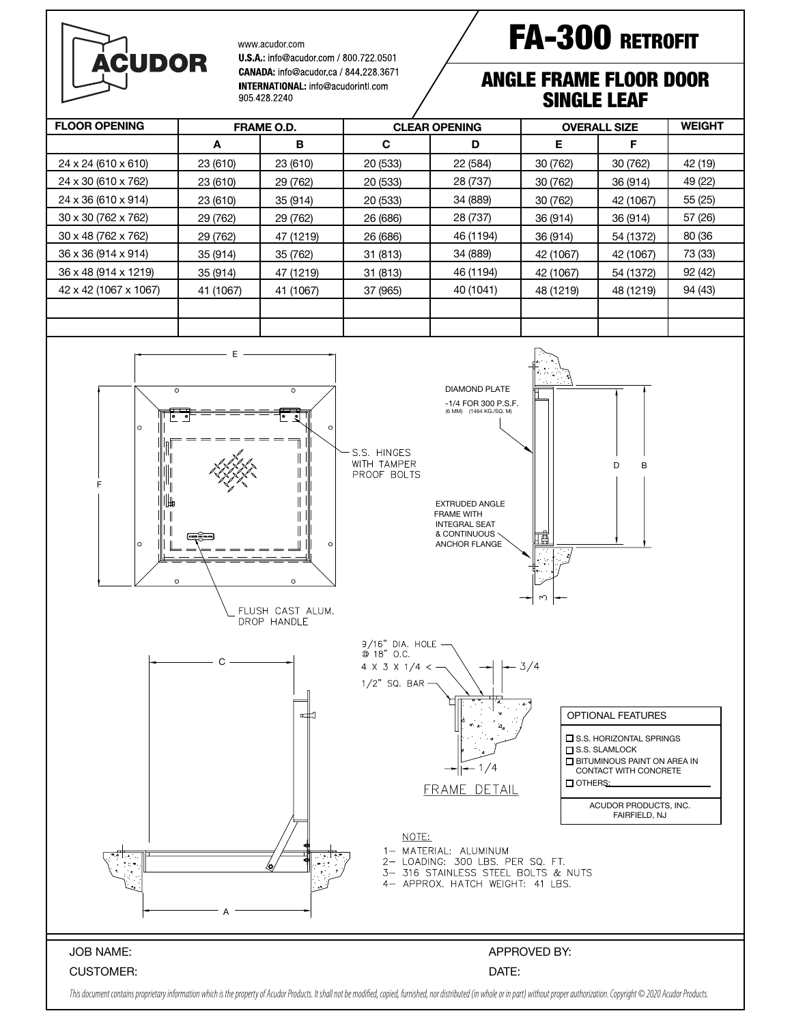

www.acudor.com

U.S.A.: info@acudor.com / 800.722.0501 CANADA: info@acudor.ca / 844 228 3671 INTERNATIONAL: info@acudorintl.com 905 428 2240

## FA-300 RETROFIT

## ANGLE FRAME FLOOR DOOR SINGLE LEAF

| <b>FLOOR OPENING</b>  | <b>FRAME O.D.</b> |           | <b>CLEAR OPENING</b> |           | <b>OVERALL SIZE</b> |           | <b>WEIGHT</b> |
|-----------------------|-------------------|-----------|----------------------|-----------|---------------------|-----------|---------------|
|                       | A                 | в         | C                    | D         | Е                   | F         |               |
| 24 x 24 (610 x 610)   | 23 (610)          | 23 (610)  | 20 (533)             | 22 (584)  | 30 (762)            | 30 (762)  | 42 (19)       |
| 24 x 30 (610 x 762)   | 23 (610)          | 29 (762)  | 20 (533)             | 28 (737)  | 30 (762)            | 36 (914)  | 49 (22)       |
| 24 x 36 (610 x 914)   | 23 (610)          | 35 (914)  | 20 (533)             | 34 (889)  | 30 (762)            | 42 (1067) | 55 (25)       |
| 30 x 30 (762 x 762)   | 29 (762)          | 29 (762)  | 26 (686)             | 28 (737)  | 36 (914)            | 36 (914)  | 57 (26)       |
| 30 x 48 (762 x 762)   | 29 (762)          | 47 (1219) | 26 (686)             | 46 (1194) | 36 (914)            | 54 (1372) | 80 (36        |
| 36 x 36 (914 x 914)   | 35 (914)          | 35 (762)  | 31 (813)             | 34 (889)  | 42 (1067)           | 42 (1067) | 73 (33)       |
| 36 x 48 (914 x 1219)  | 35 (914)          | 47 (1219) | 31 (813)             | 46 (1194) | 42 (1067)           | 54 (1372) | 92 (42)       |
| 42 x 42 (1067 x 1067) | 41 (1067)         | 41 (1067) | 37 (965)             | 40 (1041) | 48 (1219)           | 48 (1219) | 94 (43)       |
|                       |                   |           |                      |           |                     |           |               |
|                       |                   |           |                      |           |                     |           |               |